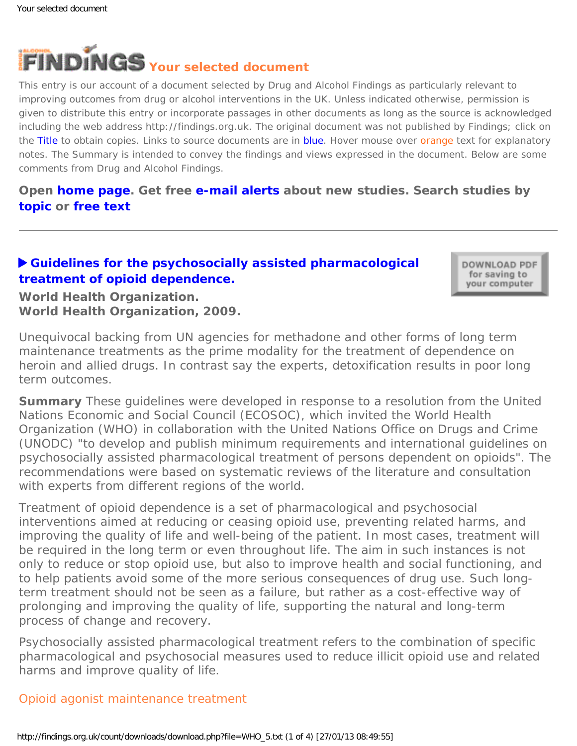

This entry is our account of a document selected by Drug and Alcohol Findings as particularly relevant to improving outcomes from drug or alcohol interventions in the UK. Unless indicated otherwise, permission is given to distribute this entry or incorporate passages in other documents as long as the source is acknowledged including the web address http://findings.org.uk. The original document was not published by Findings; click on the Title to obtain copies. Links to source documents are in blue. Hover mouse over orange text for explanatory notes. The Summary is intended to convey the findings and views expressed in the document. Below are some comments from Drug and Alcohol Findings.

**Open [home page](https://findings.org.uk/index.php). Get free [e-mail alerts](https://findings.org.uk/index.php#signUp) about new studies. Search studies by [topic](https://findings.org.uk/topic_search.htm) or [free text](https://findings.org.uk/free_search.htm)**

# **[Guidelines for the psychosocially assisted pharmacological](http://www.who.int/substance_abuse/publications/Opioid_dependence_guidelines.pdf) [treatment of opioid dependence.](http://www.who.int/substance_abuse/publications/Opioid_dependence_guidelines.pdf)**

DOWNLOAD PDF for saving to your computer

**World Health Organization. World Health Organization, 2009.**

*Unequivocal backing from UN agencies for methadone and other forms of long term maintenance treatments as the prime modality for the treatment of dependence on heroin and allied drugs. In contrast say the experts, detoxification results in poor long term outcomes.*

**Summary** These guidelines were developed in response to a resolution from the United Nations Economic and Social Council (ECOSOC), which invited the World Health Organization (WHO) in collaboration with the United Nations Office on Drugs and Crime (UNODC) "to develop and publish minimum requirements and international guidelines on psychosocially assisted pharmacological treatment of persons dependent on opioids". The recommendations were based on systematic reviews of the literature and consultation with experts from different regions of the world.

Treatment of opioid dependence is a set of pharmacological and psychosocial interventions aimed at reducing or ceasing opioid use, preventing related harms, and improving the quality of life and well-being of the patient. In most cases, treatment will be required in the long term or even throughout life. The aim in such instances is not only to reduce or stop opioid use, but also to improve health and social functioning, and to help patients avoid some of the more serious consequences of drug use. Such longterm treatment should not be seen as a failure, but rather as a cost-effective way of prolonging and improving the quality of life, supporting the natural and long-term process of change and recovery.

Psychosocially assisted pharmacological treatment refers to the combination of specific pharmacological and psychosocial measures used to reduce illicit opioid use and related harms and improve quality of life.

### Opioid agonist maintenance treatment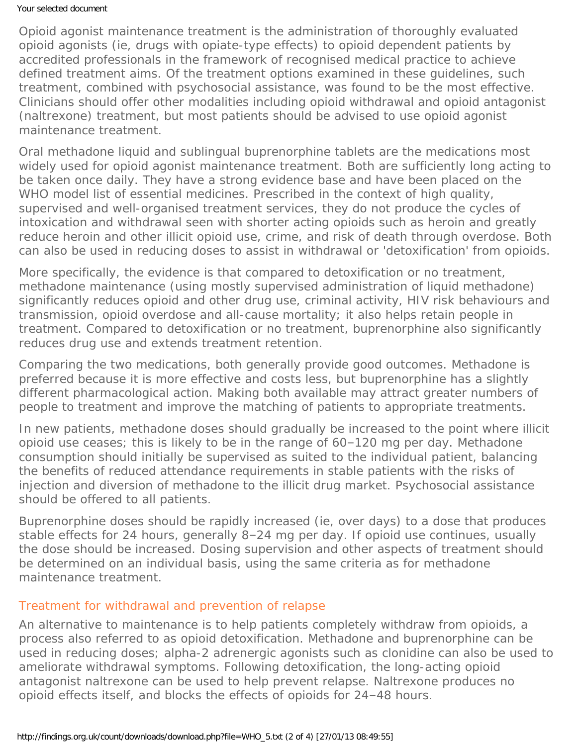#### Your selected document

Opioid agonist maintenance treatment is the administration of thoroughly evaluated opioid agonists (ie, drugs with opiate-type effects) to opioid dependent patients by accredited professionals in the framework of recognised medical practice to achieve defined treatment aims. Of the treatment options examined in these guidelines, such treatment, combined with psychosocial assistance, was found to be the most effective. Clinicians should offer other modalities including opioid withdrawal and opioid antagonist (naltrexone) treatment, but most patients should be advised to use opioid agonist maintenance treatment.

Oral methadone liquid and sublingual buprenorphine tablets are the medications most widely used for opioid agonist maintenance treatment. Both are sufficiently long acting to be taken once daily. They have a strong evidence base and have been placed on the WHO model list of essential medicines. Prescribed in the context of high quality, supervised and well-organised treatment services, they do not produce the cycles of intoxication and withdrawal seen with shorter acting opioids such as heroin and greatly reduce heroin and other illicit opioid use, crime, and risk of death through overdose. Both can also be used in reducing doses to assist in withdrawal or 'detoxification' from opioids.

More specifically, the evidence is that compared to detoxification or no treatment, methadone maintenance (using mostly supervised administration of liquid methadone) significantly reduces opioid and other drug use, criminal activity, HIV risk behaviours and transmission, opioid overdose and all-cause mortality; it also helps retain people in treatment. Compared to detoxification or no treatment, buprenorphine also significantly reduces drug use and extends treatment retention.

Comparing the two medications, both generally provide good outcomes. Methadone is preferred because it is more effective and costs less, but buprenorphine has a slightly different pharmacological action. Making both available may attract greater numbers of people to treatment and improve the matching of patients to appropriate treatments.

In new patients, methadone doses should gradually be increased to the point where illicit opioid use ceases; this is likely to be in the range of 60–120 mg per day. Methadone consumption should initially be supervised as suited to the individual patient, balancing the benefits of reduced attendance requirements in stable patients with the risks of injection and diversion of methadone to the illicit drug market. Psychosocial assistance should be offered to all patients.

Buprenorphine doses should be rapidly increased (ie, over days) to a dose that produces stable effects for 24 hours, generally 8–24 mg per day. If opioid use continues, usually the dose should be increased. Dosing supervision and other aspects of treatment should be determined on an individual basis, using the same criteria as for methadone maintenance treatment.

### Treatment for withdrawal and prevention of relapse

An alternative to maintenance is to help patients completely withdraw from opioids, a process also referred to as opioid detoxification. Methadone and buprenorphine can be used in reducing doses; alpha-2 adrenergic agonists such as clonidine can also be used to ameliorate withdrawal symptoms. Following detoxification, the long-acting opioid antagonist naltrexone can be used to help prevent relapse. Naltrexone produces no opioid effects itself, and blocks the effects of opioids for 24–48 hours.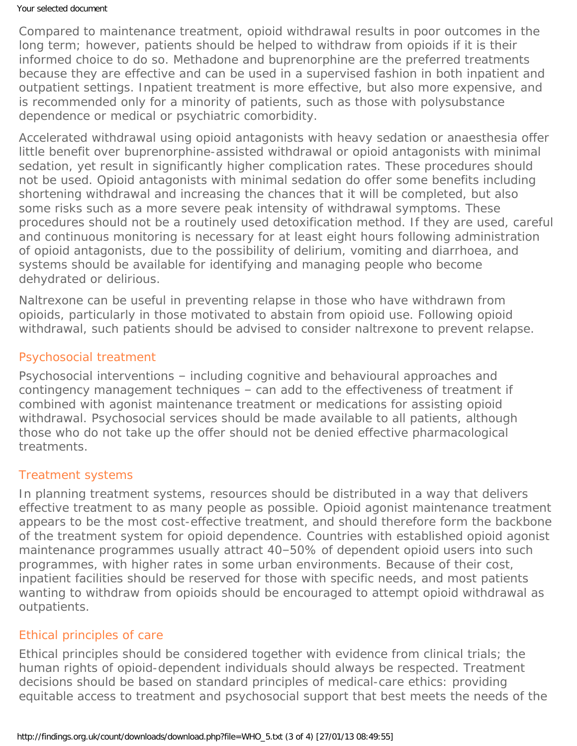#### Your selected document

Compared to maintenance treatment, opioid withdrawal results in poor outcomes in the long term; however, patients should be helped to withdraw from opioids if it is their informed choice to do so. Methadone and buprenorphine are the preferred treatments because they are effective and can be used in a supervised fashion in both inpatient and outpatient settings. Inpatient treatment is more effective, but also more expensive, and is recommended only for a minority of patients, such as those with polysubstance dependence or medical or psychiatric comorbidity.

Accelerated withdrawal using opioid antagonists with heavy sedation or anaesthesia offer little benefit over buprenorphine-assisted withdrawal or opioid antagonists with minimal sedation, yet result in significantly higher complication rates. These procedures should not be used. Opioid antagonists with *minimal* sedation do offer some benefits including shortening withdrawal and increasing the chances that it will be completed, but also some risks such as a more severe peak intensity of withdrawal symptoms. These procedures should not be a routinely used detoxification method. If they are used, careful and continuous monitoring is necessary for at least eight hours following administration of opioid antagonists, due to the possibility of delirium, vomiting and diarrhoea, and systems should be available for identifying and managing people who become dehydrated or delirious.

Naltrexone can be useful in preventing relapse in those who have withdrawn from opioids, particularly in those motivated to abstain from opioid use. Following opioid withdrawal, such patients should be advised to consider naltrexone to prevent relapse.

# Psychosocial treatment

Psychosocial interventions – including cognitive and behavioural approaches and contingency management techniques – can add to the effectiveness of treatment if combined with agonist maintenance treatment or medications for assisting opioid withdrawal. Psychosocial services should be made available to all patients, although those who do not take up the offer should not be denied effective pharmacological treatments.

### Treatment systems

In planning treatment systems, resources should be distributed in a way that delivers effective treatment to as many people as possible. Opioid agonist maintenance treatment appears to be the most cost-effective treatment, and should therefore form the backbone of the treatment system for opioid dependence. Countries with established opioid agonist maintenance programmes usually attract 40–50% of dependent opioid users into such programmes, with higher rates in some urban environments. Because of their cost, inpatient facilities should be reserved for those with specific needs, and most patients wanting to withdraw from opioids should be encouraged to attempt opioid withdrawal as outpatients.

# Ethical principles of care

Ethical principles should be considered together with evidence from clinical trials; the human rights of opioid-dependent individuals should always be respected. Treatment decisions should be based on standard principles of medical-care ethics: providing equitable access to treatment and psychosocial support that best meets the needs of the